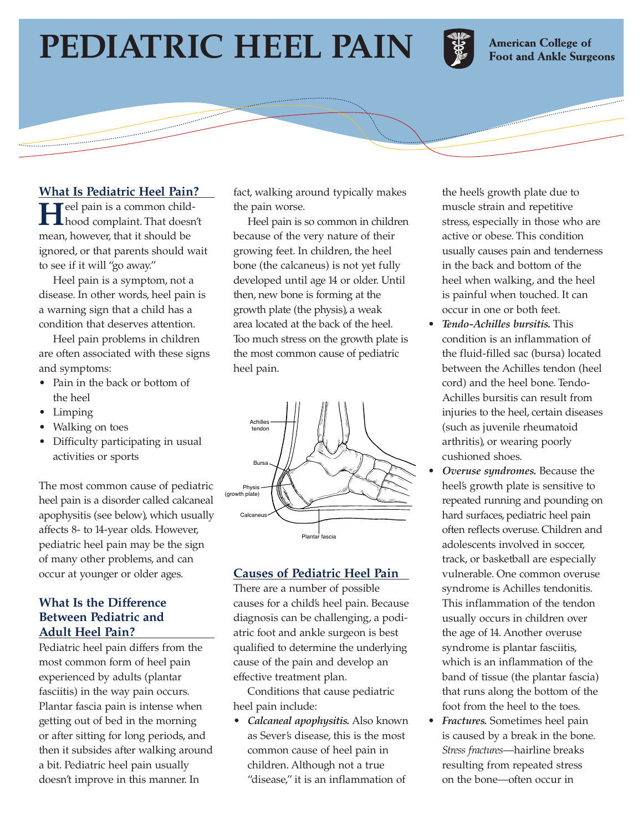# **PEDIATRIC HEEL PAIN**



**American College of Foot and Ankle Surgeons** 

#### **What Is Pediatric Heel Pain?**

**H**eel pain is a common childhood complaint. That doesn't mean, however, that it should be ignored, or that parents should wait to see if it will "go away."

Heel pain is a symptom, not a disease. In other words, heel pain is a warning sign that a child has a condition that deserves attention.

Heel pain problems in children are often associated with these signs and symptoms:

- Pain in the back or bottom of the heel
- Limping

- Walking on toes
- Difficulty participating in usual activities or sports

The most common cause of pediatric heel pain is a disorder called calcaneal apophysitis (see below), which usually affects 8- to 14-year olds. However, pediatric heel pain may be the sign of many other problems, and can occur at younger or older ages.

### **What Is the Difference Between Pediatric and Adult Heel Pain?**

Pediatric heel pain differs from the most common form of heel pain experienced by adults (plantar fasciitis) in the way pain occurs. Plantar fascia pain is intense when getting out of bed in the morning or after sitting for long periods, and then it subsides after walking around a bit. Pediatric heel pain usually doesn't improve in this manner. In

fact, walking around typically makes the pain worse.

Heel pain is so common in children because of the very nature of their growing feet. In children, the heel bone (the calcaneus) is not yet fully developed until age 14 or older. Until then, new bone is forming at the growth plate (the physis), a weak area located at the back of the heel. Too much stress on the growth plate is the most common cause of pediatric heel pain.



# **Causes of Pediatric Heel Pain**

There are a number of possible causes for a child's heel pain. Because diagnosis can be challenging, a podiatric foot and ankle surgeon is best qualified to determine the underlying cause of the pain and develop an effective treatment plan.

Conditions that cause pediatric heel pain include:

• *Calcaneal apophysitis.* Also known as Sever's disease, this is the most common cause of heel pain in children. Although not a true "disease," it is an inflammation of

the heel's growth plate due to muscle strain and repetitive stress, especially in those who are active or obese. This condition usually causes pain and tenderness in the back and bottom of the heel when walking, and the heel is painful when touched. It can occur in one or both feet.

- *Tendo-Achilles bursitis.* This condition is an inflammation of the fluid-filled sac (bursa) located between the Achilles tendon (heel cord) and the heel bone. Tendo-Achilles bursitis can result from injuries to the heel, certain diseases (such as juvenile rheumatoid arthritis), or wearing poorly cushioned shoes.
- *Overuse syndromes.* Because the heel's growth plate is sensitive to repeated running and pounding on hard surfaces, pediatric heel pain often reflects overuse. Children and adolescents involved in soccer, track, or basketball are especially vulnerable. One common overuse syndrome is Achilles tendonitis. This inflammation of the tendon usually occurs in children over the age of 14. Another overuse syndrome is plantar fasciitis, which is an inflammation of the band of tissue (the plantar fascia) that runs along the bottom of the foot from the heel to the toes.
- *Fractures.* Sometimes heel pain is caused by a break in the bone. *Stress fractures*—hairline breaks resulting from repeated stress on the bone—often occur in